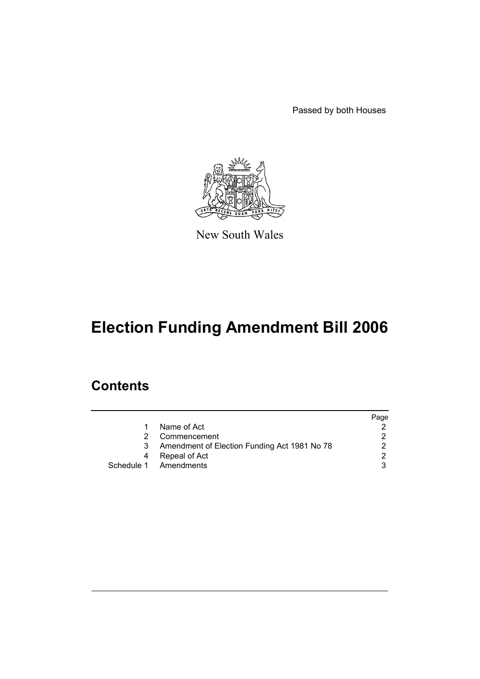Passed by both Houses



New South Wales

# **Election Funding Amendment Bill 2006**

### **Contents**

|   |                                              | Page |
|---|----------------------------------------------|------|
| 1 | Name of Act                                  |      |
|   | Commencement                                 |      |
| 3 | Amendment of Election Funding Act 1981 No 78 |      |
| 4 | Repeal of Act                                |      |
|   | Schedule 1 Amendments                        |      |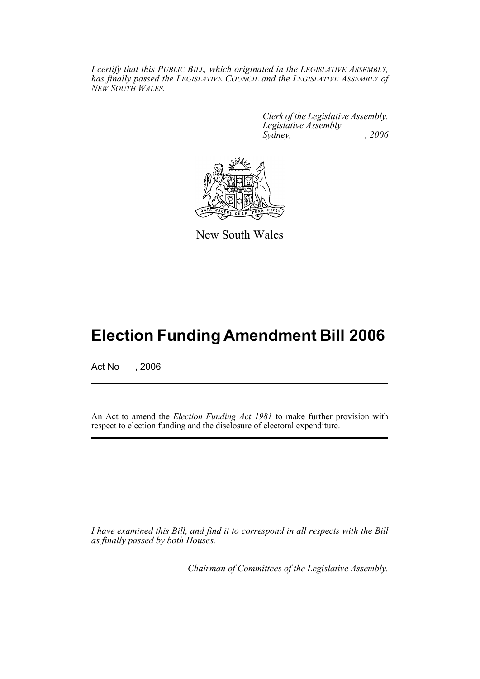*I certify that this PUBLIC BILL, which originated in the LEGISLATIVE ASSEMBLY, has finally passed the LEGISLATIVE COUNCIL and the LEGISLATIVE ASSEMBLY of NEW SOUTH WALES.*

> *Clerk of the Legislative Assembly. Legislative Assembly, Sydney, , 2006*



New South Wales

## **Election Funding Amendment Bill 2006**

Act No , 2006

An Act to amend the *Election Funding Act 1981* to make further provision with respect to election funding and the disclosure of electoral expenditure.

*I have examined this Bill, and find it to correspond in all respects with the Bill as finally passed by both Houses.*

*Chairman of Committees of the Legislative Assembly.*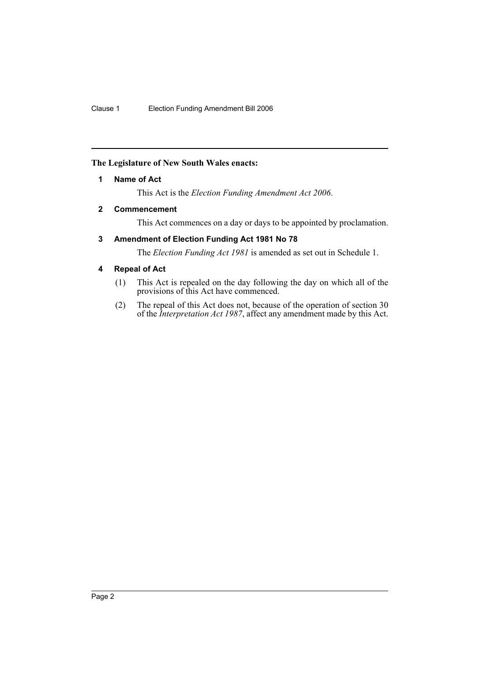#### **The Legislature of New South Wales enacts:**

#### **1 Name of Act**

This Act is the *Election Funding Amendment Act 2006*.

#### **2 Commencement**

This Act commences on a day or days to be appointed by proclamation.

#### **3 Amendment of Election Funding Act 1981 No 78**

The *Election Funding Act 1981* is amended as set out in Schedule 1.

#### **4 Repeal of Act**

- (1) This Act is repealed on the day following the day on which all of the provisions of this Act have commenced.
- (2) The repeal of this Act does not, because of the operation of section 30 of the *Interpretation Act 1987*, affect any amendment made by this Act.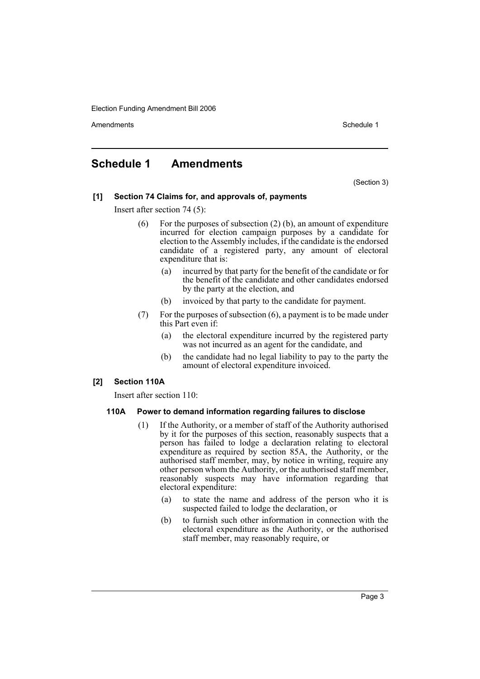Election Funding Amendment Bill 2006

Amendments **Amendments** Schedule 1

### **Schedule 1 Amendments**

(Section 3)

#### **[1] Section 74 Claims for, and approvals of, payments**

Insert after section 74 (5):

- (6) For the purposes of subsection (2) (b), an amount of expenditure incurred for election campaign purposes by a candidate for election to the Assembly includes, if the candidate is the endorsed candidate of a registered party, any amount of electoral expenditure that is:
	- (a) incurred by that party for the benefit of the candidate or for the benefit of the candidate and other candidates endorsed by the party at the election, and
	- (b) invoiced by that party to the candidate for payment.
- (7) For the purposes of subsection (6), a payment is to be made under this Part even if:
	- (a) the electoral expenditure incurred by the registered party was not incurred as an agent for the candidate, and
	- (b) the candidate had no legal liability to pay to the party the amount of electoral expenditure invoiced.

#### **[2] Section 110A**

Insert after section 110:

#### **110A Power to demand information regarding failures to disclose**

- (1) If the Authority, or a member of staff of the Authority authorised by it for the purposes of this section, reasonably suspects that a person has failed to lodge a declaration relating to electoral expenditure as required by section 85A, the Authority, or the authorised staff member, may, by notice in writing, require any other person whom the Authority, or the authorised staff member, reasonably suspects may have information regarding that electoral expenditure:
	- (a) to state the name and address of the person who it is suspected failed to lodge the declaration, or
	- (b) to furnish such other information in connection with the electoral expenditure as the Authority, or the authorised staff member, may reasonably require, or